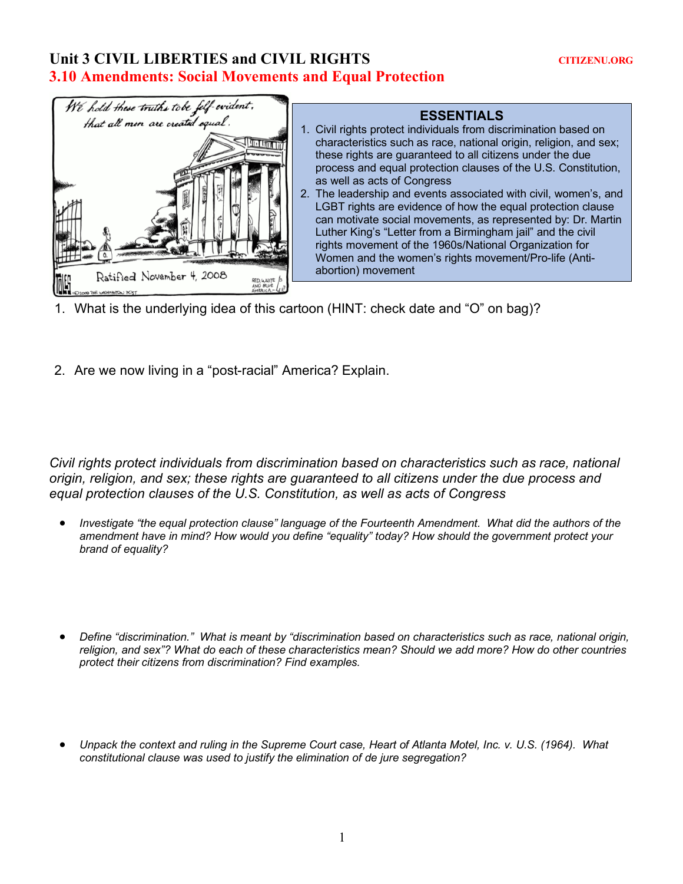## Unit 3 CIVIL LIBERTIES and CIVIL RIGHTS CITIZENU.ORG **3.10 Amendments: Social Movements and Equal Protection**



## **ESSENTIALS**

- 1. Civil rights protect individuals from discrimination based on characteristics such as race, national origin, religion, and sex; these rights are guaranteed to all citizens under the due process and equal protection clauses of the U.S. Constitution, as well as acts of Congress
- 2. The leadership and events associated with civil, women's, and LGBT rights are evidence of how the equal protection clause can motivate social movements, as represented by: Dr. Martin Luther King's "Letter from a Birmingham jail" and the civil rights movement of the 1960s/National Organization for Women and the women's rights movement/Pro-life (Antiabortion) movement
- 1. What is the underlying idea of this cartoon (HINT: check date and "O" on bag)?
- 2. Are we now living in a "post-racial" America? Explain.

*Civil rights protect individuals from discrimination based on characteristics such as race, national origin, religion, and sex; these rights are guaranteed to all citizens under the due process and equal protection clauses of the U.S. Constitution, as well as acts of Congress*

- *Investigate "the equal protection clause" language of the Fourteenth Amendment. What did the authors of the amendment have in mind? How would you define "equality" today? How should the government protect your brand of equality?*
- *Define "discrimination." What is meant by "discrimination based on characteristics such as race, national origin, religion, and sex"? What do each of these characteristics mean? Should we add more? How do other countries protect their citizens from discrimination? Find examples.*
- *Unpack the context and ruling in the Supreme Court case, Heart of Atlanta Motel, Inc. v. U.S. (1964). What constitutional clause was used to justify the elimination of de jure segregation?*